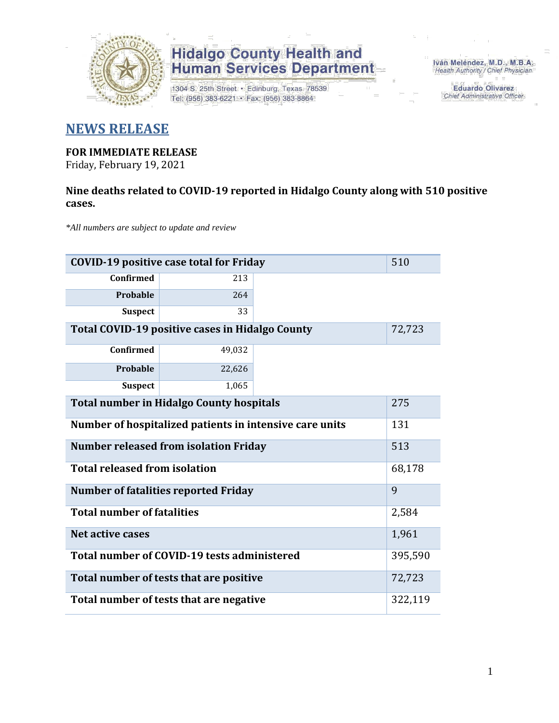

1304 S. 25th Street · Edinburg, Texas 78539 Tel: (956) 383-6221 · Fax: (956) 383-8864

Iván Meléndez, M.D., M.B.A. Health Authority / Chief Physician

> Eduardo Olivarez Chief Administrative Officer

#### **NEWS RELEASE**

#### **FOR IMMEDIATE RELEASE**

Friday, February 19, 2021

#### **Nine deaths related to COVID-19 reported in Hidalgo County along with 510 positive cases.**

*\*All numbers are subject to update and review*

| <b>COVID-19 positive case total for Friday</b><br>510     |                                                |  |         |  |  |  |  |  |  |
|-----------------------------------------------------------|------------------------------------------------|--|---------|--|--|--|--|--|--|
| <b>Confirmed</b>                                          | 213                                            |  |         |  |  |  |  |  |  |
| Probable                                                  | 264                                            |  |         |  |  |  |  |  |  |
| <b>Suspect</b>                                            | 33                                             |  |         |  |  |  |  |  |  |
| Total COVID-19 positive cases in Hidalgo County<br>72,723 |                                                |  |         |  |  |  |  |  |  |
| <b>Confirmed</b>                                          | 49,032                                         |  |         |  |  |  |  |  |  |
| Probable                                                  | 22,626                                         |  |         |  |  |  |  |  |  |
| <b>Suspect</b>                                            | 1,065                                          |  |         |  |  |  |  |  |  |
| <b>Total number in Hidalgo County hospitals</b><br>275    |                                                |  |         |  |  |  |  |  |  |
| Number of hospitalized patients in intensive care units   |                                                |  |         |  |  |  |  |  |  |
| <b>Number released from isolation Friday</b><br>513       |                                                |  |         |  |  |  |  |  |  |
|                                                           | <b>Total released from isolation</b><br>68,178 |  |         |  |  |  |  |  |  |
|                                                           | <b>Number of fatalities reported Friday</b>    |  | 9       |  |  |  |  |  |  |
| <b>Total number of fatalities</b>                         |                                                |  | 2,584   |  |  |  |  |  |  |
| Net active cases                                          |                                                |  | 1,961   |  |  |  |  |  |  |
|                                                           | Total number of COVID-19 tests administered    |  | 395,590 |  |  |  |  |  |  |
| Total number of tests that are positive<br>72,723         |                                                |  |         |  |  |  |  |  |  |
| Total number of tests that are negative                   |                                                |  |         |  |  |  |  |  |  |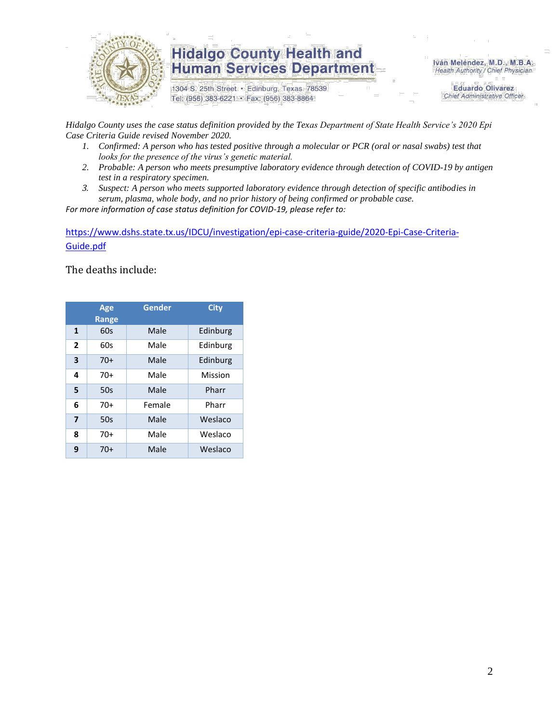

1304 S. 25th Street · Edinburg, Texas 78539 Tel: (956) 383-6221 · Fax: (956) 383-8864

Iván Meléndez, M.D., M.B.A. Health Authority / Chief Physician

> **Eduardo Olivarez** Chief Administrative Officer

*Hidalgo County uses the case status definition provided by the Texas Department of State Health Service's 2020 Epi Case Criteria Guide revised November 2020.*

- *1. Confirmed: A person who has tested positive through a molecular or PCR (oral or nasal swabs) test that looks for the presence of the virus's genetic material.*
- *2. Probable: A person who meets presumptive laboratory evidence through detection of COVID-19 by antigen test in a respiratory specimen.*
- *3. Suspect: A person who meets supported laboratory evidence through detection of specific antibodies in serum, plasma, whole body, and no prior history of being confirmed or probable case.*

*For more information of case status definition for COVID-19, please refer to:*

[https://www.dshs.state.tx.us/IDCU/investigation/epi-case-criteria-guide/2020-Epi-Case-Criteria-](https://www.dshs.state.tx.us/IDCU/investigation/epi-case-criteria-guide/2020-Epi-Case-Criteria-Guide.pdf)[Guide.pdf](https://www.dshs.state.tx.us/IDCU/investigation/epi-case-criteria-guide/2020-Epi-Case-Criteria-Guide.pdf)

The deaths include:

|                         | Age<br><b>Range</b> | Gender | <b>City</b> |
|-------------------------|---------------------|--------|-------------|
| 1                       | 60s                 | Male   | Edinburg    |
| $\overline{2}$          | 60s                 | Male   | Edinburg    |
| 3                       | $70+$               | Male   | Edinburg    |
| 4                       | 70+                 | Male   | Mission     |
| 5                       | 50s                 | Male   | Pharr       |
| 6                       | 70+                 | Female | Pharr       |
| $\overline{\mathbf{z}}$ | 50s                 | Male   | Weslaco     |
| 8                       | 70+                 | Male   | Weslaco     |
| 9                       | $70+$               | Male   | Weslaco     |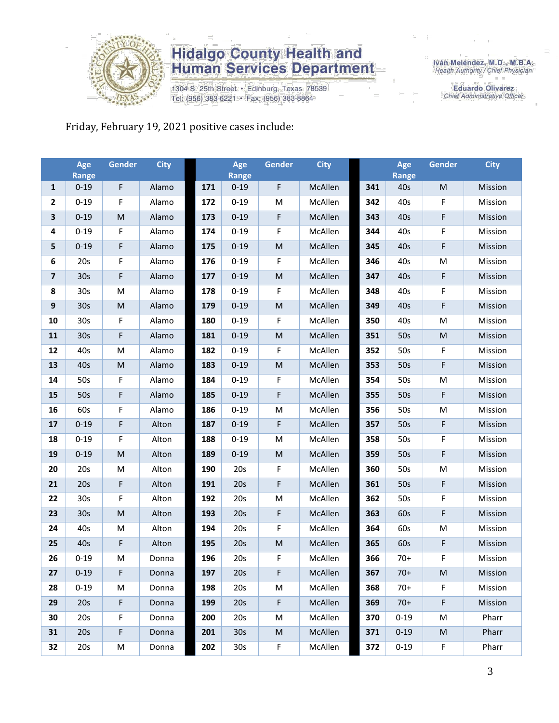

1304 S. 25th Street · Edinburg, Texas 78539 Tel: (956) 383-6221 · Fax: (956) 383-8864

Iván Meléndez, M.D., M.B.A.<br>Health Authority / Chief Physician

**Eduardo Olivarez** Chief Administrative Officer

Friday, February 19, 2021 positive cases include:

|                         | Age<br>Range    | Gender                                                                                                     | <b>City</b> |     | Age<br>Range    | Gender                                                                                                     | <b>City</b> |     | Age<br>Range | <b>Gender</b> | <b>City</b>    |
|-------------------------|-----------------|------------------------------------------------------------------------------------------------------------|-------------|-----|-----------------|------------------------------------------------------------------------------------------------------------|-------------|-----|--------------|---------------|----------------|
| $\mathbf{1}$            | $0 - 19$        | F                                                                                                          | Alamo       | 171 | $0 - 19$        | F                                                                                                          | McAllen     | 341 | 40s          | ${\sf M}$     | Mission        |
| $\mathbf{2}$            | $0 - 19$        | F                                                                                                          | Alamo       | 172 | $0 - 19$        | ${\sf M}$                                                                                                  | McAllen     | 342 | 40s          | F             | Mission        |
| 3                       | $0 - 19$        | $\mathsf{M}% _{T}=\mathsf{M}_{T}\!\left( a,b\right) ,\ \mathsf{M}_{T}=\mathsf{M}_{T}\!\left( a,b\right) ,$ | Alamo       | 173 | $0 - 19$        | F                                                                                                          | McAllen     | 343 | 40s          | F             | Mission        |
| 4                       | $0 - 19$        | F                                                                                                          | Alamo       | 174 | $0 - 19$        | F                                                                                                          | McAllen     | 344 | 40s          | F             | Mission        |
| 5                       | $0 - 19$        | F                                                                                                          | Alamo       | 175 | $0 - 19$        | $\mathsf{M}% _{T}=\mathsf{M}_{T}\!\left( a,b\right) ,\ \mathsf{M}_{T}=\mathsf{M}_{T}\!\left( a,b\right) ,$ | McAllen     | 345 | 40s          | F             | Mission        |
| 6                       | 20s             | F                                                                                                          | Alamo       | 176 | $0 - 19$        | F                                                                                                          | McAllen     | 346 | 40s          | M             | Mission        |
| $\overline{\mathbf{z}}$ | 30s             | F                                                                                                          | Alamo       | 177 | $0 - 19$        | ${\sf M}$                                                                                                  | McAllen     | 347 | 40s          | F             | Mission        |
| 8                       | 30s             | M                                                                                                          | Alamo       | 178 | $0 - 19$        | F                                                                                                          | McAllen     | 348 | 40s          | F             | Mission        |
| 9                       | 30s             | ${\sf M}$                                                                                                  | Alamo       | 179 | $0 - 19$        | $\mathsf{M}% _{T}=\mathsf{M}_{T}\!\left( a,b\right) ,\ \mathsf{M}_{T}=\mathsf{M}_{T}\!\left( a,b\right) ,$ | McAllen     | 349 | 40s          | F             | Mission        |
| 10                      | 30s             | F                                                                                                          | Alamo       | 180 | $0 - 19$        | F                                                                                                          | McAllen     | 350 | 40s          | M             | Mission        |
| 11                      | 30 <sub>s</sub> | F                                                                                                          | Alamo       | 181 | $0 - 19$        | ${\sf M}$                                                                                                  | McAllen     | 351 | 50s          | ${\sf M}$     | Mission        |
| 12                      | 40s             | ${\sf M}$                                                                                                  | Alamo       | 182 | $0 - 19$        | F                                                                                                          | McAllen     | 352 | 50s          | F             | Mission        |
| 13                      | 40s             | $\mathsf{M}% _{T}=\mathsf{M}_{T}\!\left( a,b\right) ,\ \mathsf{M}_{T}=\mathsf{M}_{T}\!\left( a,b\right) ,$ | Alamo       | 183 | $0 - 19$        | ${\sf M}$                                                                                                  | McAllen     | 353 | 50s          | F             | Mission        |
| 14                      | 50s             | F                                                                                                          | Alamo       | 184 | $0 - 19$        | F                                                                                                          | McAllen     | 354 | 50s          | M             | Mission        |
| 15                      | 50s             | F                                                                                                          | Alamo       | 185 | $0 - 19$        | F                                                                                                          | McAllen     | 355 | 50s          | F             | Mission        |
| 16                      | 60s             | F                                                                                                          | Alamo       | 186 | $0 - 19$        | M                                                                                                          | McAllen     | 356 | 50s          | M             | Mission        |
| 17                      | $0 - 19$        | F                                                                                                          | Alton       | 187 | $0 - 19$        | F                                                                                                          | McAllen     | 357 | 50s          | F             | Mission        |
| 18                      | $0 - 19$        | F                                                                                                          | Alton       | 188 | $0 - 19$        | M                                                                                                          | McAllen     | 358 | 50s          | F             | Mission        |
| 19                      | $0 - 19$        | $\mathsf{M}% _{T}=\mathsf{M}_{T}\!\left( a,b\right) ,\ \mathsf{M}_{T}=\mathsf{M}_{T}\!\left( a,b\right) ,$ | Alton       | 189 | $0 - 19$        | $\mathsf{M}% _{T}=\mathsf{M}_{T}\!\left( a,b\right) ,\ \mathsf{M}_{T}=\mathsf{M}_{T}\!\left( a,b\right) ,$ | McAllen     | 359 | 50s          | F             | Mission        |
| 20                      | 20s             | M                                                                                                          | Alton       | 190 | 20s             | F                                                                                                          | McAllen     | 360 | 50s          | M             | Mission        |
| 21                      | 20s             | F                                                                                                          | Alton       | 191 | 20s             | F                                                                                                          | McAllen     | 361 | 50s          | F             | Mission        |
| 22                      | 30 <sub>s</sub> | F                                                                                                          | Alton       | 192 | 20s             | M                                                                                                          | McAllen     | 362 | 50s          | F             | Mission        |
| 23                      | 30s             | $\mathsf{M}% _{T}=\mathsf{M}_{T}\!\left( a,b\right) ,\ \mathsf{M}_{T}=\mathsf{M}_{T}\!\left( a,b\right) ,$ | Alton       | 193 | 20s             | F                                                                                                          | McAllen     | 363 | 60s          | F             | Mission        |
| 24                      | 40s             | M                                                                                                          | Alton       | 194 | 20s             | F                                                                                                          | McAllen     | 364 | 60s          | M             | Mission        |
| 25                      | 40s             | F                                                                                                          | Alton       | 195 | 20s             | ${\sf M}$                                                                                                  | McAllen     | 365 | 60s          | F             | Mission        |
| 26                      | $0 - 19$        | M                                                                                                          | Donna       | 196 | 20s             | F                                                                                                          | McAllen     | 366 | $70+$        | F             | Mission        |
| 27                      | $0 - 19$        | F                                                                                                          | Donna       | 197 | 20s             | F                                                                                                          | McAllen     | 367 | $70+$        | M             | Mission        |
| 28                      | $0 - 19$        | M                                                                                                          | Donna       | 198 | 20s             | M                                                                                                          | McAllen     | 368 | $70+$        | F             | Mission        |
| 29                      | 20s             | F                                                                                                          | Donna       | 199 | 20s             | F                                                                                                          | McAllen     | 369 | $70+$        | F             | <b>Mission</b> |
| 30                      | 20s             | F                                                                                                          | Donna       | 200 | 20s             | M                                                                                                          | McAllen     | 370 | $0 - 19$     | M             | Pharr          |
| 31                      | 20s             | F                                                                                                          | Donna       | 201 | 30 <sub>s</sub> | ${\sf M}$                                                                                                  | McAllen     | 371 | $0 - 19$     | M             | Pharr          |
| 32                      | 20s             | M                                                                                                          | Donna       | 202 | 30 <sub>s</sub> | F                                                                                                          | McAllen     | 372 | $0 - 19$     | F             | Pharr          |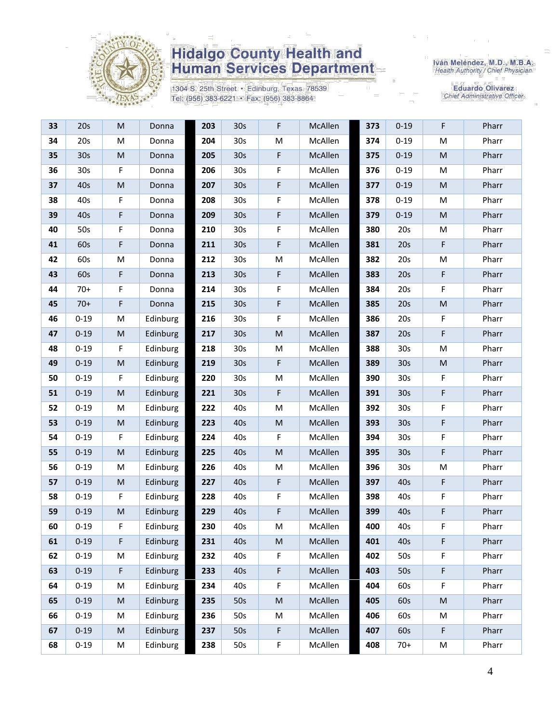

1304 S. 25th Street · Edinburg, Texas 78539 Tel: (956) 383-6221 · Fax: (956) 383-8864

Iván Meléndez, M.D., M.B.A.<br>Health Authority / Chief Physician

Eduardo Olivarez<br>Chief Administrative Officer

| 33 | 20s             | ${\sf M}$   | Donna    | 203 | 30 <sub>s</sub> | F           | McAllen | 373 | $0 - 19$        | F         | Pharr |
|----|-----------------|-------------|----------|-----|-----------------|-------------|---------|-----|-----------------|-----------|-------|
| 34 | 20s             | M           | Donna    | 204 | 30 <sub>s</sub> | M           | McAllen | 374 | $0 - 19$        | M         | Pharr |
| 35 | 30 <sub>s</sub> | ${\sf M}$   | Donna    | 205 | 30 <sub>s</sub> | $\mathsf F$ | McAllen | 375 | $0 - 19$        | ${\sf M}$ | Pharr |
| 36 | 30 <sub>s</sub> | F           | Donna    | 206 | 30s             | F           | McAllen | 376 | $0 - 19$        | M         | Pharr |
| 37 | 40s             | ${\sf M}$   | Donna    | 207 | 30 <sub>s</sub> | F           | McAllen | 377 | $0 - 19$        | ${\sf M}$ | Pharr |
| 38 | 40s             | F           | Donna    | 208 | 30s             | F           | McAllen | 378 | $0 - 19$        | M         | Pharr |
| 39 | 40s             | $\mathsf F$ | Donna    | 209 | 30 <sub>s</sub> | F           | McAllen | 379 | $0 - 19$        | ${\sf M}$ | Pharr |
| 40 | 50s             | F           | Donna    | 210 | 30 <sub>s</sub> | F           | McAllen | 380 | 20s             | M         | Pharr |
| 41 | 60s             | $\mathsf F$ | Donna    | 211 | 30 <sub>s</sub> | $\mathsf F$ | McAllen | 381 | 20s             | F         | Pharr |
| 42 | 60s             | M           | Donna    | 212 | 30 <sub>s</sub> | M           | McAllen | 382 | 20s             | M         | Pharr |
| 43 | 60s             | $\mathsf F$ | Donna    | 213 | 30 <sub>s</sub> | F           | McAllen | 383 | 20s             | F         | Pharr |
| 44 | $70+$           | F           | Donna    | 214 | 30s             | $\mathsf F$ | McAllen | 384 | 20s             | F         | Pharr |
| 45 | $70+$           | $\mathsf F$ | Donna    | 215 | 30 <sub>s</sub> | F           | McAllen | 385 | 20s             | ${\sf M}$ | Pharr |
| 46 | $0 - 19$        | M           | Edinburg | 216 | 30s             | F           | McAllen | 386 | 20s             | F         | Pharr |
| 47 | $0 - 19$        | ${\sf M}$   | Edinburg | 217 | 30 <sub>s</sub> | ${\sf M}$   | McAllen | 387 | 20s             | F         | Pharr |
| 48 | $0 - 19$        | F           | Edinburg | 218 | 30s             | M           | McAllen | 388 | 30 <sub>s</sub> | M         | Pharr |
| 49 | $0 - 19$        | ${\sf M}$   | Edinburg | 219 | 30 <sub>s</sub> | $\mathsf F$ | McAllen | 389 | 30 <sub>s</sub> | ${\sf M}$ | Pharr |
| 50 | $0 - 19$        | F           | Edinburg | 220 | 30s             | M           | McAllen | 390 | 30s             | F         | Pharr |
| 51 | $0 - 19$        | ${\sf M}$   | Edinburg | 221 | 30s             | F           | McAllen | 391 | 30 <sub>s</sub> | F         | Pharr |
| 52 | $0 - 19$        | M           | Edinburg | 222 | 40s             | M           | McAllen | 392 | 30 <sub>s</sub> | F         | Pharr |
| 53 | $0 - 19$        | ${\sf M}$   | Edinburg | 223 | 40s             | M           | McAllen | 393 | 30 <sub>s</sub> | F         | Pharr |
| 54 | $0 - 19$        | F           | Edinburg | 224 | 40s             | F           | McAllen | 394 | 30 <sub>s</sub> | F         | Pharr |
| 55 | $0 - 19$        | ${\sf M}$   | Edinburg | 225 | 40s             | ${\sf M}$   | McAllen | 395 | 30 <sub>s</sub> | F         | Pharr |
| 56 | $0 - 19$        | M           | Edinburg | 226 | 40s             | M           | McAllen | 396 | 30 <sub>s</sub> | M         | Pharr |
| 57 | $0 - 19$        | ${\sf M}$   | Edinburg | 227 | 40s             | F           | McAllen | 397 | 40s             | F         | Pharr |
| 58 | $0 - 19$        | F           | Edinburg | 228 | 40s             | F           | McAllen | 398 | 40s             | F         | Pharr |
| 59 | $0 - 19$        | ${\sf M}$   | Edinburg | 229 | 40s             | F           | McAllen | 399 | 40s             | F         | Pharr |
| 60 | $0 - 19$        | F           | Edinburg | 230 | 40s             | M           | McAllen | 400 | 40s             | F         | Pharr |
| 61 | $0 - 19$        | F           | Edinburg | 231 | 40s             | M           | McAllen | 401 | 40s             | F         | Pharr |
| 62 | $0 - 19$        | M           | Edinburg | 232 | 40s             | F           | McAllen | 402 | 50s             | F         | Pharr |
| 63 | $0 - 19$        | F           | Edinburg | 233 | 40s             | $\mathsf F$ | McAllen | 403 | 50s             | F         | Pharr |
| 64 | $0 - 19$        | M           | Edinburg | 234 | 40s             | F           | McAllen | 404 | 60s             | F         | Pharr |
| 65 | $0 - 19$        | M           | Edinburg | 235 | 50s             | M           | McAllen | 405 | 60s             | ${\sf M}$ | Pharr |
| 66 | $0 - 19$        | M           | Edinburg | 236 | 50s             | M           | McAllen | 406 | 60s             | M         | Pharr |
| 67 | $0 - 19$        | M           | Edinburg | 237 | 50s             | F           | McAllen | 407 | 60s             | F         | Pharr |
| 68 | $0 - 19$        | M           | Edinburg | 238 | 50s             | F           | McAllen | 408 | $70+$           | M         | Pharr |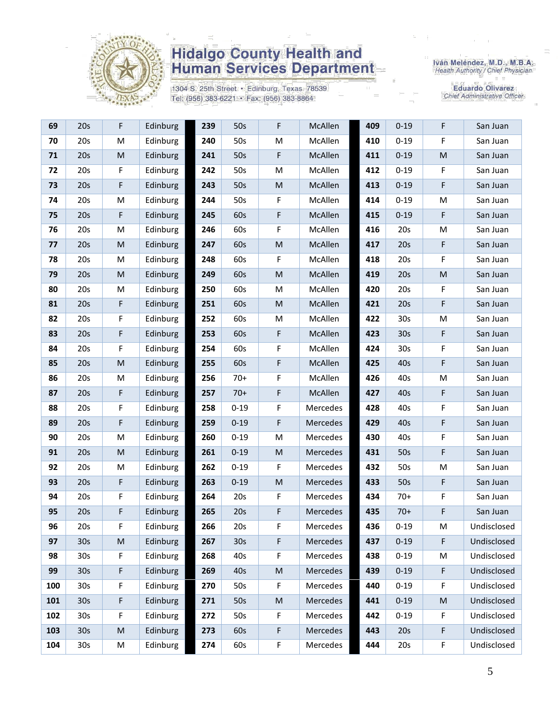

1304 S. 25th Street · Edinburg, Texas 78539 Tel: (956) 383-6221 · Fax: (956) 383-8864

Iván Meléndez, M.D., M.B.A.<br>Health Authority / Chief Physician

Eduardo Olivarez<br>Chief Administrative Officer

| 69  | 20s             | F           | Edinburg | 239 | 50s             | F                                                                                                          | McAllen  | 409 | $0 - 19$        | F                                                                                                          | San Juan    |
|-----|-----------------|-------------|----------|-----|-----------------|------------------------------------------------------------------------------------------------------------|----------|-----|-----------------|------------------------------------------------------------------------------------------------------------|-------------|
| 70  | 20s             | M           | Edinburg | 240 | 50s             | M                                                                                                          | McAllen  | 410 | $0 - 19$        | F                                                                                                          | San Juan    |
| 71  | 20s             | ${\sf M}$   | Edinburg | 241 | 50s             | F                                                                                                          | McAllen  | 411 | $0 - 19$        | ${\sf M}$                                                                                                  | San Juan    |
| 72  | 20s             | F           | Edinburg | 242 | 50s             | M                                                                                                          | McAllen  | 412 | $0 - 19$        | F                                                                                                          | San Juan    |
| 73  | 20s             | F           | Edinburg | 243 | 50s             | M                                                                                                          | McAllen  | 413 | $0 - 19$        | F                                                                                                          | San Juan    |
| 74  | 20s             | M           | Edinburg | 244 | 50s             | F                                                                                                          | McAllen  | 414 | $0 - 19$        | M                                                                                                          | San Juan    |
| 75  | 20s             | F           | Edinburg | 245 | 60s             | F                                                                                                          | McAllen  | 415 | $0 - 19$        | F                                                                                                          | San Juan    |
| 76  | 20s             | M           | Edinburg | 246 | 60s             | F                                                                                                          | McAllen  | 416 | 20s             | M                                                                                                          | San Juan    |
| 77  | 20s             | ${\sf M}$   | Edinburg | 247 | 60s             | M                                                                                                          | McAllen  | 417 | 20s             | F                                                                                                          | San Juan    |
| 78  | 20s             | M           | Edinburg | 248 | 60s             | F                                                                                                          | McAllen  | 418 | 20s             | F                                                                                                          | San Juan    |
| 79  | 20s             | ${\sf M}$   | Edinburg | 249 | 60s             | $\mathsf{M}% _{T}=\mathsf{M}_{T}\!\left( a,b\right) ,\ \mathsf{M}_{T}=\mathsf{M}_{T}\!\left( a,b\right) ,$ | McAllen  | 419 | 20s             | $\mathsf{M}% _{T}=\mathsf{M}_{T}\!\left( a,b\right) ,\ \mathsf{M}_{T}=\mathsf{M}_{T}\!\left( a,b\right) ,$ | San Juan    |
| 80  | 20s             | M           | Edinburg | 250 | 60s             | M                                                                                                          | McAllen  | 420 | 20s             | F                                                                                                          | San Juan    |
| 81  | 20s             | F           | Edinburg | 251 | 60s             | M                                                                                                          | McAllen  | 421 | 20s             | F                                                                                                          | San Juan    |
| 82  | 20s             | F           | Edinburg | 252 | 60s             | M                                                                                                          | McAllen  | 422 | 30s             | M                                                                                                          | San Juan    |
| 83  | 20s             | $\mathsf F$ | Edinburg | 253 | 60s             | F                                                                                                          | McAllen  | 423 | 30 <sub>s</sub> | F                                                                                                          | San Juan    |
| 84  | 20s             | F           | Edinburg | 254 | 60s             | F                                                                                                          | McAllen  | 424 | 30s             | F                                                                                                          | San Juan    |
| 85  | 20s             | ${\sf M}$   | Edinburg | 255 | 60s             | F                                                                                                          | McAllen  | 425 | 40s             | F                                                                                                          | San Juan    |
| 86  | 20s             | M           | Edinburg | 256 | $70+$           | F                                                                                                          | McAllen  | 426 | 40s             | M                                                                                                          | San Juan    |
| 87  | 20s             | F           | Edinburg | 257 | $70+$           | F                                                                                                          | McAllen  | 427 | 40s             | F                                                                                                          | San Juan    |
| 88  | 20s             | F           | Edinburg | 258 | $0 - 19$        | F                                                                                                          | Mercedes | 428 | 40s             | F                                                                                                          | San Juan    |
| 89  | 20s             | F           | Edinburg | 259 | $0 - 19$        | F                                                                                                          | Mercedes | 429 | 40s             | F                                                                                                          | San Juan    |
| 90  | 20s             | M           | Edinburg | 260 | $0 - 19$        | M                                                                                                          | Mercedes | 430 | 40s             | F                                                                                                          | San Juan    |
| 91  | 20s             | ${\sf M}$   | Edinburg | 261 | $0 - 19$        | ${\sf M}$                                                                                                  | Mercedes | 431 | 50s             | F                                                                                                          | San Juan    |
| 92  | 20s             | M           | Edinburg | 262 | $0 - 19$        | F                                                                                                          | Mercedes | 432 | 50s             | M                                                                                                          | San Juan    |
| 93  | 20s             | F           | Edinburg | 263 | $0 - 19$        | ${\sf M}$                                                                                                  | Mercedes | 433 | 50s             | F                                                                                                          | San Juan    |
| 94  | 20s             | F           | Edinburg | 264 | 20s             | F                                                                                                          | Mercedes | 434 | $70+$           | F                                                                                                          | San Juan    |
| 95  | 20s             | F           | Edinburg | 265 | 20s             | F                                                                                                          | Mercedes | 435 | $70+$           | F                                                                                                          | San Juan    |
| 96  | 20s             | F           | Edinburg | 266 | 20s             | F                                                                                                          | Mercedes | 436 | $0 - 19$        | M                                                                                                          | Undisclosed |
| 97  | 30s             | ${\sf M}$   | Edinburg | 267 | 30 <sub>s</sub> | F                                                                                                          | Mercedes | 437 | $0 - 19$        | F                                                                                                          | Undisclosed |
| 98  | 30s             | F           | Edinburg | 268 | 40s             | F                                                                                                          | Mercedes | 438 | $0 - 19$        | M                                                                                                          | Undisclosed |
| 99  | 30s             | F           | Edinburg | 269 | 40s             | ${\sf M}$                                                                                                  | Mercedes | 439 | $0 - 19$        | F                                                                                                          | Undisclosed |
| 100 | 30 <sub>s</sub> | F           | Edinburg | 270 | 50s             | F                                                                                                          | Mercedes | 440 | $0 - 19$        | F                                                                                                          | Undisclosed |
| 101 | 30 <sub>s</sub> | F           | Edinburg | 271 | 50s             | M                                                                                                          | Mercedes | 441 | $0 - 19$        | ${\sf M}$                                                                                                  | Undisclosed |
| 102 | 30 <sub>s</sub> | F           | Edinburg | 272 | 50s             | F                                                                                                          | Mercedes | 442 | $0 - 19$        | F                                                                                                          | Undisclosed |
| 103 | 30 <sub>s</sub> | ${\sf M}$   | Edinburg | 273 | 60s             | F                                                                                                          | Mercedes | 443 | 20s             | F                                                                                                          | Undisclosed |
| 104 | 30 <sub>s</sub> | M           | Edinburg | 274 | 60s             | F                                                                                                          | Mercedes | 444 | 20s             | F                                                                                                          | Undisclosed |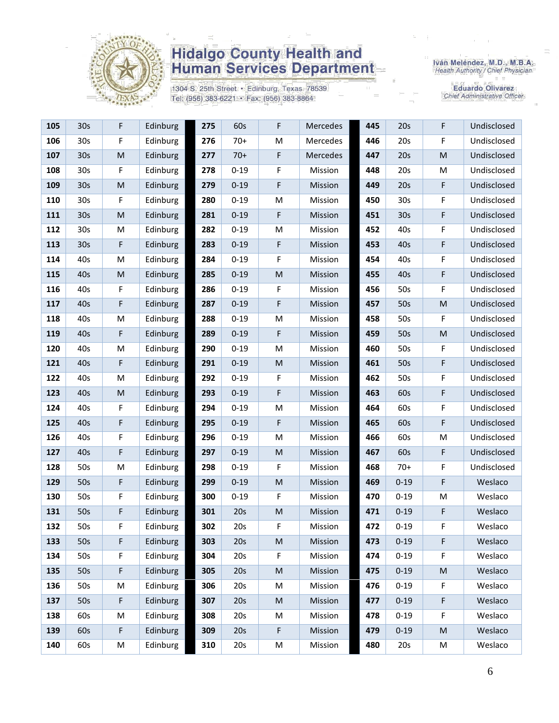

1304 S. 25th Street · Edinburg, Texas 78539 Tel: (956) 383-6221 · Fax: (956) 383-8864

Iván Meléndez, M.D., M.B.A.<br>Health Authority / Chief Physician

**Eduardo Olivarez** Chief Administrative Officer

| 105 | 30 <sub>s</sub> | F           | Edinburg | 275 | 60s      | F         | Mercedes | 445 | 20s             | F           | Undisclosed |
|-----|-----------------|-------------|----------|-----|----------|-----------|----------|-----|-----------------|-------------|-------------|
| 106 | 30 <sub>s</sub> | F           | Edinburg | 276 | $70+$    | M         | Mercedes | 446 | 20s             | F           | Undisclosed |
| 107 | 30 <sub>s</sub> | ${\sf M}$   | Edinburg | 277 | $70+$    | F         | Mercedes | 447 | 20s             | ${\sf M}$   | Undisclosed |
| 108 | 30 <sub>s</sub> | F           | Edinburg | 278 | $0 - 19$ | F         | Mission  | 448 | 20s             | M           | Undisclosed |
| 109 | 30 <sub>s</sub> | ${\sf M}$   | Edinburg | 279 | $0 - 19$ | F         | Mission  | 449 | 20s             | F           | Undisclosed |
| 110 | 30 <sub>s</sub> | F           | Edinburg | 280 | $0 - 19$ | M         | Mission  | 450 | 30 <sub>s</sub> | F           | Undisclosed |
| 111 | 30 <sub>s</sub> | ${\sf M}$   | Edinburg | 281 | $0 - 19$ | F         | Mission  | 451 | 30 <sub>s</sub> | F           | Undisclosed |
| 112 | 30 <sub>s</sub> | M           | Edinburg | 282 | $0 - 19$ | M         | Mission  | 452 | 40s             | F           | Undisclosed |
| 113 | 30 <sub>s</sub> | $\mathsf F$ | Edinburg | 283 | $0 - 19$ | F         | Mission  | 453 | 40s             | F           | Undisclosed |
| 114 | 40s             | M           | Edinburg | 284 | $0 - 19$ | F         | Mission  | 454 | 40s             | F           | Undisclosed |
| 115 | 40s             | ${\sf M}$   | Edinburg | 285 | $0 - 19$ | ${\sf M}$ | Mission  | 455 | 40s             | F           | Undisclosed |
| 116 | 40s             | $\mathsf F$ | Edinburg | 286 | $0 - 19$ | F         | Mission  | 456 | 50s             | F           | Undisclosed |
| 117 | 40s             | F           | Edinburg | 287 | $0 - 19$ | F         | Mission  | 457 | 50s             | ${\sf M}$   | Undisclosed |
| 118 | 40s             | M           | Edinburg | 288 | $0 - 19$ | M         | Mission  | 458 | 50s             | F           | Undisclosed |
| 119 | 40s             | $\mathsf F$ | Edinburg | 289 | $0 - 19$ | F         | Mission  | 459 | 50s             | M           | Undisclosed |
| 120 | 40s             | M           | Edinburg | 290 | $0 - 19$ | M         | Mission  | 460 | 50s             | $\mathsf F$ | Undisclosed |
| 121 | 40s             | F           | Edinburg | 291 | $0 - 19$ | ${\sf M}$ | Mission  | 461 | 50s             | F           | Undisclosed |
| 122 | 40s             | M           | Edinburg | 292 | $0 - 19$ | F         | Mission  | 462 | 50s             | F           | Undisclosed |
| 123 | 40s             | ${\sf M}$   | Edinburg | 293 | $0 - 19$ | F         | Mission  | 463 | 60s             | F           | Undisclosed |
| 124 | 40s             | F           | Edinburg | 294 | $0 - 19$ | M         | Mission  | 464 | 60s             | F           | Undisclosed |
| 125 | 40s             | F           | Edinburg | 295 | $0 - 19$ | F         | Mission  | 465 | 60s             | F           | Undisclosed |
| 126 | 40s             | F           | Edinburg | 296 | $0 - 19$ | M         | Mission  | 466 | 60s             | M           | Undisclosed |
| 127 | 40s             | F           | Edinburg | 297 | $0 - 19$ | M         | Mission  | 467 | 60s             | F           | Undisclosed |
| 128 | 50s             | M           | Edinburg | 298 | $0 - 19$ | F         | Mission  | 468 | $70+$           | F           | Undisclosed |
| 129 | 50s             | F           | Edinburg | 299 | $0 - 19$ | ${\sf M}$ | Mission  | 469 | $0 - 19$        | F           | Weslaco     |
| 130 | 50s             | F           | Edinburg | 300 | $0 - 19$ | F         | Mission  | 470 | $0 - 19$        | M           | Weslaco     |
| 131 | 50s             | F           | Edinburg | 301 | 20s      | M         | Mission  | 471 | $0 - 19$        | F           | Weslaco     |
| 132 | 50s             | F           | Edinburg | 302 | 20s      | F         | Mission  | 472 | $0 - 19$        | F           | Weslaco     |
| 133 | 50s             | F           | Edinburg | 303 | 20s      | ${\sf M}$ | Mission  | 473 | $0 - 19$        | F           | Weslaco     |
| 134 | 50s             | F           | Edinburg | 304 | 20s      | F         | Mission  | 474 | $0 - 19$        | F           | Weslaco     |
| 135 | 50s             | $\mathsf F$ | Edinburg | 305 | 20s      | M         | Mission  | 475 | $0 - 19$        | ${\sf M}$   | Weslaco     |
| 136 | 50s             | M           | Edinburg | 306 | 20s      | M         | Mission  | 476 | $0 - 19$        | F           | Weslaco     |
| 137 | 50s             | F           | Edinburg | 307 | 20s      | M         | Mission  | 477 | $0 - 19$        | F           | Weslaco     |
| 138 | 60s             | M           | Edinburg | 308 | 20s      | M         | Mission  | 478 | $0 - 19$        | F           | Weslaco     |
| 139 | 60s             | F           | Edinburg | 309 | 20s      | F         | Mission  | 479 | $0 - 19$        | M           | Weslaco     |
| 140 | 60s             | M           | Edinburg | 310 | 20s      | M         | Mission  | 480 | 20s             | M           | Weslaco     |